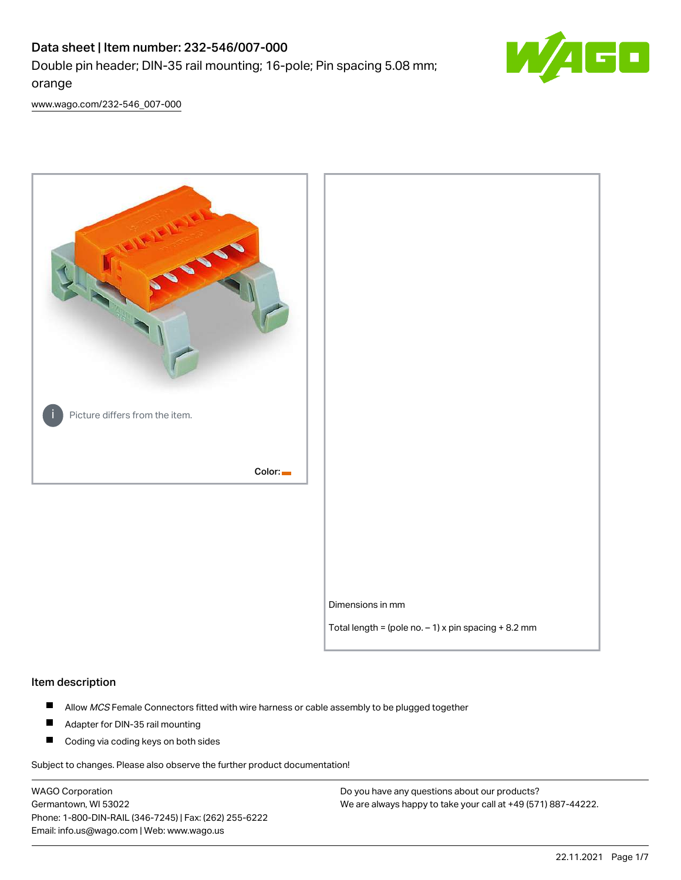# Data sheet | Item number: 232-546/007-000 Double pin header; DIN-35 rail mounting; 16-pole; Pin spacing 5.08 mm; orange



[www.wago.com/232-546\\_007-000](http://www.wago.com/232-546_007-000)



#### Item description

- $\blacksquare$ Allow MCS Female Connectors fitted with wire harness or cable assembly to be plugged together
- $\blacksquare$ Adapter for DIN-35 rail mounting
- $\blacksquare$ Coding via coding keys on both sides

Subject to changes. Please also observe the further product documentation!

WAGO Corporation Germantown, WI 53022 Phone: 1-800-DIN-RAIL (346-7245) | Fax: (262) 255-6222 Email: info.us@wago.com | Web: www.wago.us

Do you have any questions about our products? We are always happy to take your call at +49 (571) 887-44222.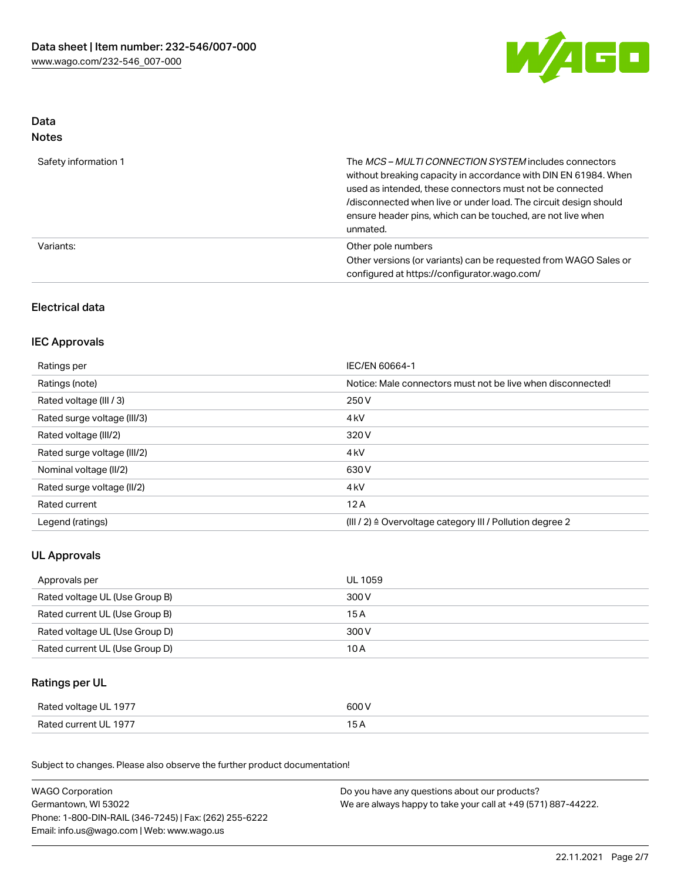

## Data Notes

| Safety information 1 | The <i>MCS – MULTI CONNECTION SYSTEM</i> includes connectors<br>without breaking capacity in accordance with DIN EN 61984. When<br>used as intended, these connectors must not be connected<br>/disconnected when live or under load. The circuit design should<br>ensure header pins, which can be touched, are not live when<br>unmated. |
|----------------------|--------------------------------------------------------------------------------------------------------------------------------------------------------------------------------------------------------------------------------------------------------------------------------------------------------------------------------------------|
| Variants:            | Other pole numbers<br>Other versions (or variants) can be requested from WAGO Sales or<br>configured at https://configurator.wago.com/                                                                                                                                                                                                     |

## Electrical data

## IEC Approvals

| Ratings per                 | IEC/EN 60664-1                                                        |
|-----------------------------|-----------------------------------------------------------------------|
| Ratings (note)              | Notice: Male connectors must not be live when disconnected!           |
| Rated voltage (III / 3)     | 250 V                                                                 |
| Rated surge voltage (III/3) | 4 <sub>k</sub> V                                                      |
| Rated voltage (III/2)       | 320 V                                                                 |
| Rated surge voltage (III/2) | 4 <sub>k</sub> V                                                      |
| Nominal voltage (II/2)      | 630 V                                                                 |
| Rated surge voltage (II/2)  | 4 <sub>k</sub> V                                                      |
| Rated current               | 12A                                                                   |
| Legend (ratings)            | $(III / 2)$ $\triangle$ Overvoltage category III / Pollution degree 2 |

## UL Approvals

| Approvals per                  | UL 1059 |
|--------------------------------|---------|
| Rated voltage UL (Use Group B) | 300 V   |
| Rated current UL (Use Group B) | 15 A    |
| Rated voltage UL (Use Group D) | 300 V   |
| Rated current UL (Use Group D) | 10 A    |

## Ratings per UL

| Rated voltage UL 1977 | 600 V |
|-----------------------|-------|
| Rated current UL 1977 |       |

Subject to changes. Please also observe the further product documentation!

| <b>WAGO Corporation</b>                                | Do you have any questions about our products?                 |  |
|--------------------------------------------------------|---------------------------------------------------------------|--|
| Germantown, WI 53022                                   | We are always happy to take your call at +49 (571) 887-44222. |  |
| Phone: 1-800-DIN-RAIL (346-7245)   Fax: (262) 255-6222 |                                                               |  |
| Email: info.us@wago.com   Web: www.wago.us             |                                                               |  |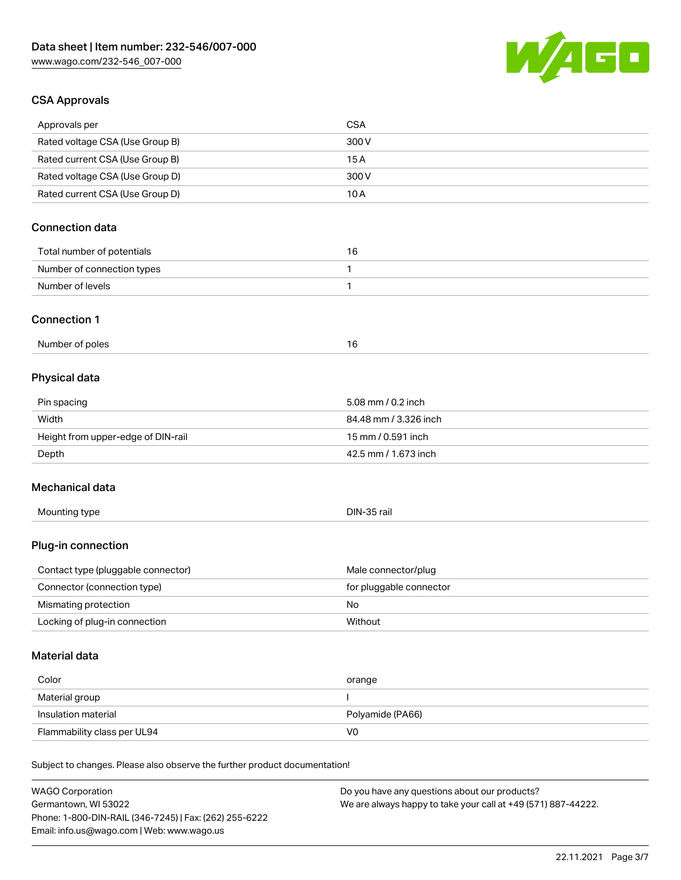

## CSA Approvals

| Approvals per                                                              | <b>CSA</b>                                    |
|----------------------------------------------------------------------------|-----------------------------------------------|
| Rated voltage CSA (Use Group B)                                            | 300V                                          |
| Rated current CSA (Use Group B)                                            | 15A                                           |
| Rated voltage CSA (Use Group D)                                            | 300 V                                         |
| Rated current CSA (Use Group D)                                            | 10A                                           |
| <b>Connection data</b>                                                     |                                               |
| Total number of potentials                                                 | 16                                            |
| Number of connection types                                                 | 1                                             |
| Number of levels                                                           | 1                                             |
| <b>Connection 1</b>                                                        |                                               |
| Number of poles                                                            | 16                                            |
| Physical data                                                              |                                               |
| Pin spacing                                                                | 5.08 mm / 0.2 inch                            |
| Width                                                                      | 84.48 mm / 3.326 inch                         |
| Height from upper-edge of DIN-rail                                         | 15 mm / 0.591 inch                            |
| Depth                                                                      | 42.5 mm / 1.673 inch                          |
| Mechanical data                                                            |                                               |
| Mounting type                                                              | DIN-35 rail                                   |
| Plug-in connection                                                         |                                               |
| Contact type (pluggable connector)                                         | Male connector/plug                           |
| Connector (connection type)                                                | for pluggable connector                       |
| Mismating protection                                                       | No                                            |
| Locking of plug-in connection                                              | Without                                       |
| <b>Material data</b>                                                       |                                               |
| Color                                                                      | orange                                        |
| Material group                                                             |                                               |
| Insulation material                                                        | Polyamide (PA66)                              |
| Flammability class per UL94                                                | V <sub>0</sub>                                |
| Subject to changes. Please also observe the further product documentation! |                                               |
| <b>WAGO Corporation</b>                                                    | Do you have any questions about our products? |

Germantown, WI 53022 Phone: 1-800-DIN-RAIL (346-7245) | Fax: (262) 255-6222 Email: info.us@wago.com | Web: www.wago.us

iave any questions about o We are always happy to take your call at +49 (571) 887-44222.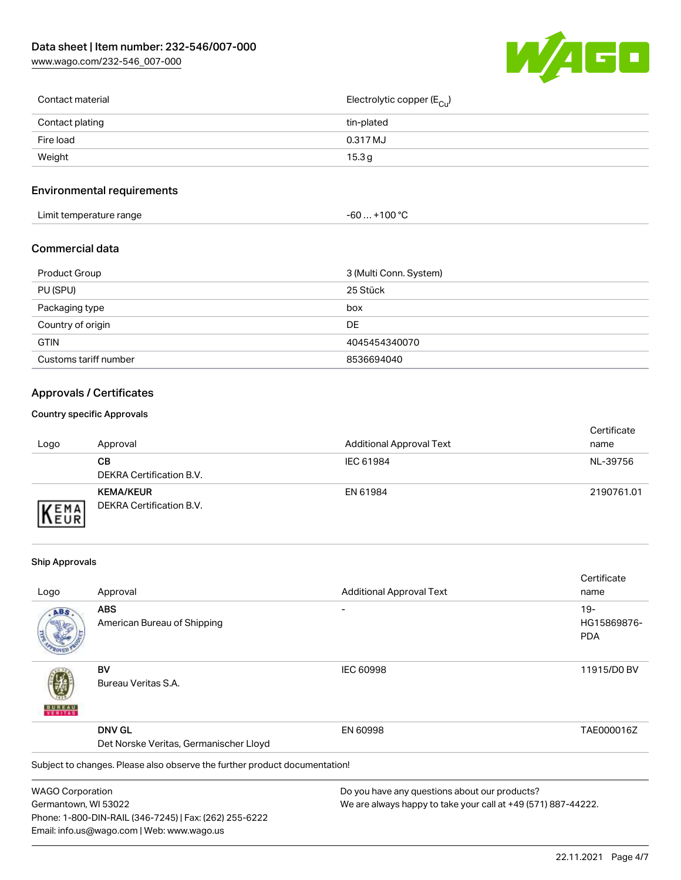[www.wago.com/232-546\\_007-000](http://www.wago.com/232-546_007-000)



| Contact material | Electrolytic copper (E <sub>Cu</sub> ) |
|------------------|----------------------------------------|
| Contact plating  | tin-plated                             |
| Fire load        | 0.317 MJ                               |
| Weight           | 15.3 g                                 |
|                  |                                        |

## Environmental requirements

| Limit temperature range<br>the contract of the contract of the contract of the contract of the contract of the contract of the contract of | +100 °C<br>-60 |
|--------------------------------------------------------------------------------------------------------------------------------------------|----------------|
|--------------------------------------------------------------------------------------------------------------------------------------------|----------------|

## Commercial data

| <b>Product Group</b>  | 3 (Multi Conn. System) |
|-----------------------|------------------------|
| PU (SPU)              | 25 Stück               |
| Packaging type        | box                    |
| Country of origin     | DE                     |
| <b>GTIN</b>           | 4045454340070          |
| Customs tariff number | 8536694040             |

## Approvals / Certificates

#### Country specific Approvals

| Logo               | Approval                                     | <b>Additional Approval Text</b> | Certificate<br>name |
|--------------------|----------------------------------------------|---------------------------------|---------------------|
|                    | CВ<br>DEKRA Certification B.V.               | IEC 61984                       | NL-39756            |
| EMA<br><b>NEUR</b> | <b>KEMA/KEUR</b><br>DEKRA Certification B.V. | EN 61984                        | 2190761.01          |

#### Ship Approvals

Email: info.us@wago.com | Web: www.wago.us

|                                        |                                                                            |                                                               | Certificate |
|----------------------------------------|----------------------------------------------------------------------------|---------------------------------------------------------------|-------------|
| Logo                                   | Approval                                                                   | <b>Additional Approval Text</b>                               | name        |
| ABS                                    | <b>ABS</b>                                                                 |                                                               | $19-$       |
|                                        | American Bureau of Shipping                                                |                                                               | HG15869876- |
|                                        |                                                                            |                                                               | <b>PDA</b>  |
|                                        | BV                                                                         | <b>IEC 60998</b>                                              | 11915/D0 BV |
| VERITAS                                | Bureau Veritas S.A.                                                        |                                                               |             |
|                                        | <b>DNV GL</b>                                                              | EN 60998                                                      | TAE000016Z  |
| Det Norske Veritas, Germanischer Lloyd |                                                                            |                                                               |             |
|                                        | Subject to changes. Please also observe the further product documentation! |                                                               |             |
| <b>WAGO Corporation</b>                |                                                                            | Do you have any questions about our products?                 |             |
| Germantown, WI 53022                   |                                                                            | We are always happy to take your call at +49 (571) 887-44222. |             |
|                                        | Phone: 1-800-DIN-RAIL (346-7245)   Fax: (262) 255-6222                     |                                                               |             |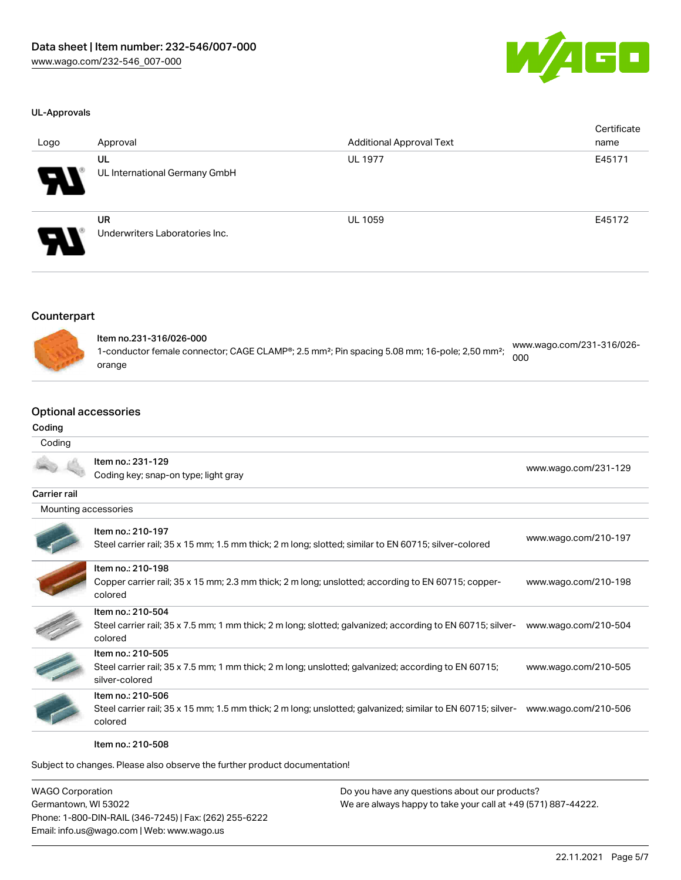

#### UL-Approvals

| Logo | Approval                                    | <b>Additional Approval Text</b> | Certificate<br>name |
|------|---------------------------------------------|---------------------------------|---------------------|
| Э.   | UL<br>UL International Germany GmbH         | <b>UL 1977</b>                  | E45171              |
| Э.   | <b>UR</b><br>Underwriters Laboratories Inc. | <b>UL 1059</b>                  | E45172              |

#### Counterpart



| ltem no.231-316/026-000                                                                                               | www.wago.com/231-316/026- |
|-----------------------------------------------------------------------------------------------------------------------|---------------------------|
| 1-conductor female connector; CAGE CLAMP®; 2.5 mm <sup>2</sup> ; Pin spacing 5.08 mm; 16-pole; 2,50 mm <sup>2</sup> ; | 000                       |
| orange                                                                                                                |                           |

## Optional accessories

#### Coding

#### **Coding**

|                      | Item no.: 231-129                                                                                                      | www.wago.com/231-129 |
|----------------------|------------------------------------------------------------------------------------------------------------------------|----------------------|
|                      | Coding key; snap-on type; light gray                                                                                   |                      |
| <b>Carrier rail</b>  |                                                                                                                        |                      |
| Mounting accessories |                                                                                                                        |                      |
|                      | Item no.: 210-197                                                                                                      |                      |
|                      | Steel carrier rail; 35 x 15 mm; 1.5 mm thick; 2 m long; slotted; similar to EN 60715; silver-colored                   | www.wago.com/210-197 |
|                      | Item no.: 210-198                                                                                                      |                      |
|                      | Copper carrier rail; 35 x 15 mm; 2.3 mm thick; 2 m long; unslotted; according to EN 60715; copper-<br>colored          | www.wago.com/210-198 |
|                      | Item no.: 210-504                                                                                                      |                      |
|                      | Steel carrier rail; 35 x 7.5 mm; 1 mm thick; 2 m long; slotted; galvanized; according to EN 60715; silver-<br>colored  | www.wago.com/210-504 |
|                      | Item no.: 210-505                                                                                                      |                      |
|                      | Steel carrier rail; 35 x 7.5 mm; 1 mm thick; 2 m long; unslotted; galvanized; according to EN 60715;<br>silver-colored | www.wago.com/210-505 |
|                      | Item no.: 210-506                                                                                                      |                      |
|                      | Steel carrier rail; 35 x 15 mm; 1.5 mm thick; 2 m long; unslotted; galvanized; similar to EN 60715; silver-<br>colored | www.wago.com/210-506 |
|                      | Item no.: 210-508                                                                                                      |                      |

Subject to changes. Please also observe the further product documentation!

WAGO Corporation Germantown, WI 53022 Phone: 1-800-DIN-RAIL (346-7245) | Fax: (262) 255-6222 Email: info.us@wago.com | Web: www.wago.us Do you have any questions about our products?

We are always happy to take your call at +49 (571) 887-44222.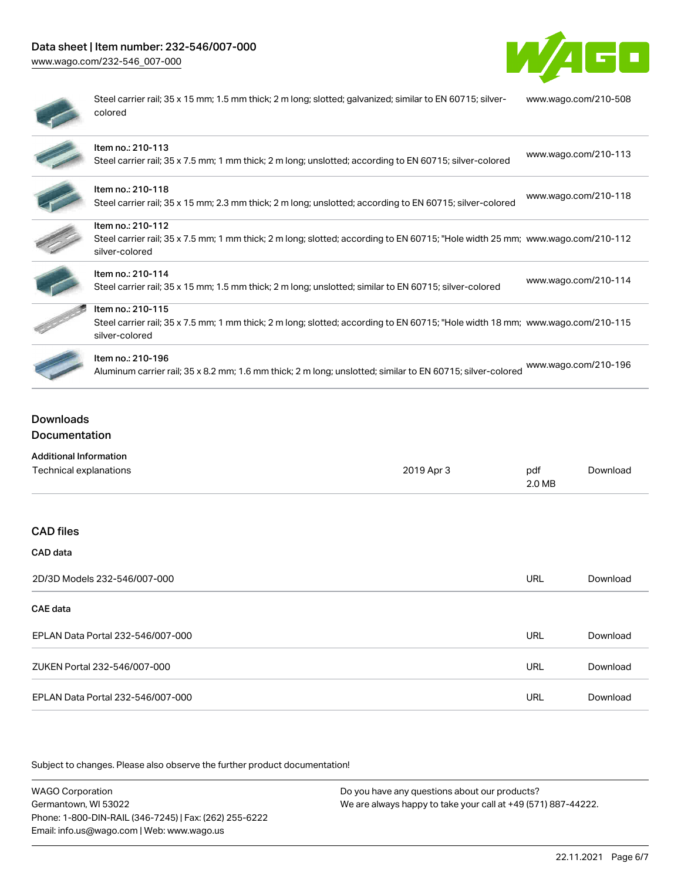## Data sheet | Item number: 232-546/007-000

[www.wago.com/232-546\\_007-000](http://www.wago.com/232-546_007-000)



| ۱ |
|---|
|   |
|   |

Steel carrier rail; 35 x 15 mm; 1.5 mm thick; 2 m long; slotted; galvanized; similar to EN 60715; silvercolored [www.wago.com/210-508](http://www.wago.com/210-508)

| Item no.: 210-113<br>Steel carrier rail; 35 x 7.5 mm; 1 mm thick; 2 m long; unslotted; according to EN 60715; silver-colored                                          | www.wago.com/210-113 |
|-----------------------------------------------------------------------------------------------------------------------------------------------------------------------|----------------------|
| Item no.: 210-118<br>Steel carrier rail; 35 x 15 mm; 2.3 mm thick; 2 m long; unslotted; according to EN 60715; silver-colored                                         | www.wago.com/210-118 |
| Item no.: 210-112<br>Steel carrier rail; 35 x 7.5 mm; 1 mm thick; 2 m long; slotted; according to EN 60715; "Hole width 25 mm; www.wago.com/210-112<br>silver-colored |                      |
| Item no.: 210-114<br>Steel carrier rail; 35 x 15 mm; 1.5 mm thick; 2 m long; unslotted; similar to EN 60715; silver-colored                                           | www.wago.com/210-114 |
| Item no.: 210-115<br>Steel carrier rail; 35 x 7.5 mm; 1 mm thick; 2 m long; slotted; according to EN 60715; "Hole width 18 mm; www.wago.com/210-115<br>silver-colored |                      |
| Item no.: 210-196<br>Aluminum carrier rail; 35 x 8.2 mm; 1.6 mm thick; 2 m long; unslotted; similar to EN 60715; silver-colored                                       | www.wago.com/210-196 |

Downloads Documentation

| <b>Additional Information</b>     |            |               |          |
|-----------------------------------|------------|---------------|----------|
| Technical explanations            | 2019 Apr 3 | pdf<br>2.0 MB | Download |
|                                   |            |               |          |
| <b>CAD files</b>                  |            |               |          |
| CAD data                          |            |               |          |
| 2D/3D Models 232-546/007-000      |            | <b>URL</b>    | Download |
| <b>CAE</b> data                   |            |               |          |
| EPLAN Data Portal 232-546/007-000 |            | <b>URL</b>    | Download |
| ZUKEN Portal 232-546/007-000      |            | <b>URL</b>    | Download |
| EPLAN Data Portal 232-546/007-000 |            | <b>URL</b>    | Download |

Subject to changes. Please also observe the further product documentation!

| <b>WAGO Corporation</b>                                | Do you have any questions about our products?                 |
|--------------------------------------------------------|---------------------------------------------------------------|
| Germantown, WI 53022                                   | We are always happy to take your call at +49 (571) 887-44222. |
| Phone: 1-800-DIN-RAIL (346-7245)   Fax: (262) 255-6222 |                                                               |
| Email: info.us@wago.com   Web: www.wago.us             |                                                               |